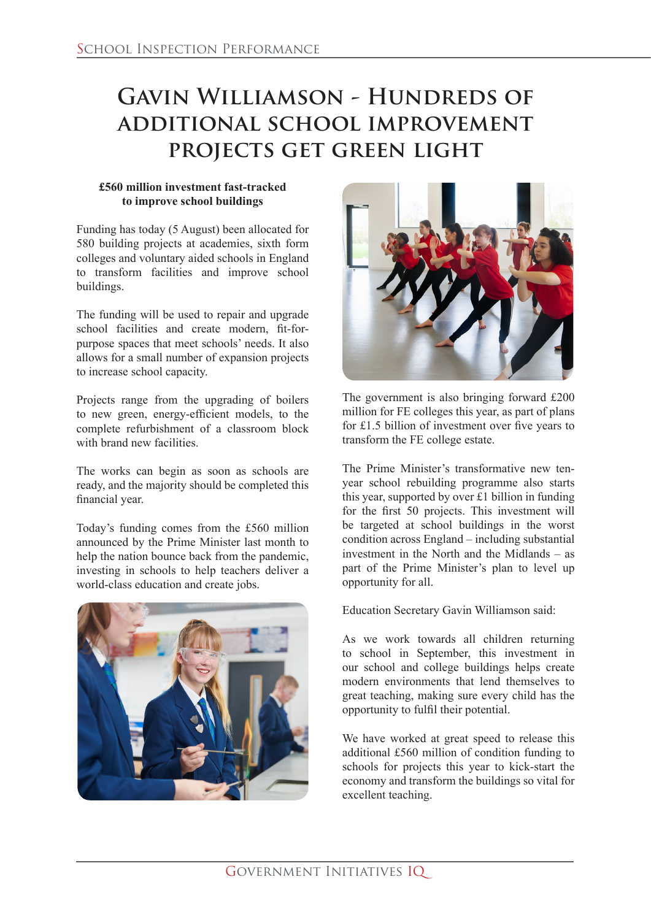## **Gavin Williamson - Hundreds of additional school improvement projects get green light**

## **£560 million investment fast-tracked to improve school buildings**

Funding has today (5 August) been allocated for 580 building projects at academies, sixth form colleges and voluntary aided schools in England to transform facilities and improve school buildings.

The funding will be used to repair and upgrade school facilities and create modern, fit-forpurpose spaces that meet schools' needs. It also allows for a small number of expansion projects to increase school capacity.

Projects range from the upgrading of boilers to new green, energy-efficient models, to the complete refurbishment of a classroom block with brand new facilities.

The works can begin as soon as schools are ready, and the majority should be completed this financial year.

Today's funding comes from the £560 million announced by the Prime Minister last month to help the nation bounce back from the pandemic, investing in schools to help teachers deliver a world-class education and create jobs.





The government is also bringing forward £200 million for FE colleges this year, as part of plans for £1.5 billion of investment over five years to transform the FE college estate.

The Prime Minister's transformative new tenyear school rebuilding programme also starts this year, supported by over £1 billion in funding for the first 50 projects. This investment will be targeted at school buildings in the worst condition across England – including substantial investment in the North and the Midlands – as part of the Prime Minister's plan to level up opportunity for all.

Education Secretary Gavin Williamson said:

As we work towards all children returning to school in September, this investment in our school and college buildings helps create modern environments that lend themselves to great teaching, making sure every child has the opportunity to fulfil their potential.

We have worked at great speed to release this additional £560 million of condition funding to schools for projects this year to kick-start the economy and transform the buildings so vital for excellent teaching.